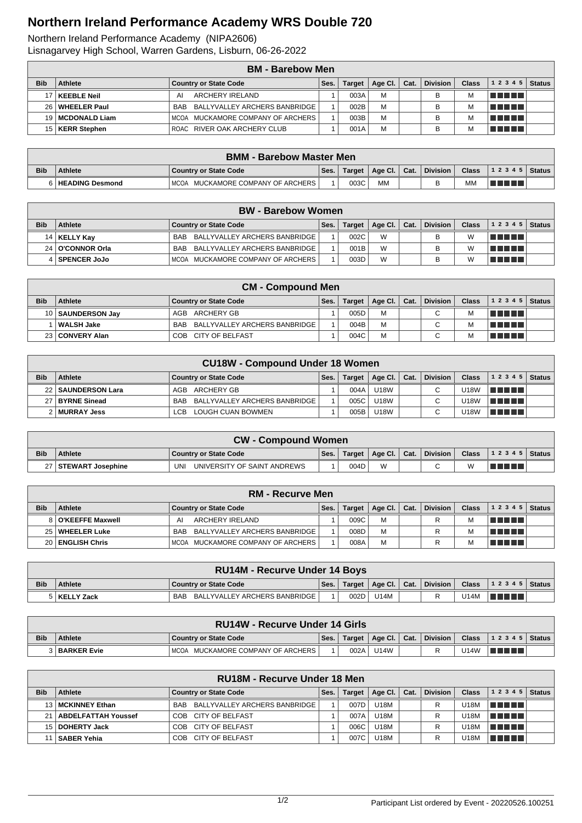## **Northern Ireland Performance Academy WRS Double 720**

Northern Ireland Performance Academy (NIPA2606)

Lisnagarvey High School, Warren Gardens, Lisburn, 06-26-2022

|            |                     | <b>BM</b> - Barebow Men                     |      |               |         |      |                 |              |                   |               |
|------------|---------------------|---------------------------------------------|------|---------------|---------|------|-----------------|--------------|-------------------|---------------|
| <b>Bib</b> | Athlete             | <b>Country or State Code</b>                | Ses. | <b>Target</b> | Age Cl. | Cat. | <b>Division</b> | <b>Class</b> | 1 2 3 4 5         | <b>Status</b> |
|            | 17   KEEBLE Neil    | ARCHERY IRELAND<br>ΑI                       |      | 003A          | M       |      | в               | M            | l Titolin Titolin |               |
| 26 I       | <b>WHEELER Paul</b> | BALLYVALLEY ARCHERS BANBRIDGE<br><b>BAB</b> |      | 002B          | M       |      |                 | M            | n na mats         |               |
|            | 19   MCDONALD Liam  | MCOA MUCKAMORE COMPANY OF ARCHERS           |      | 003B          | M       |      |                 | M            | T FIFTI T         |               |
|            | 15   KERR Stephen   | ROAC RIVER OAK ARCHERY CLUB                 |      | 001A          | M       |      |                 | M            | TI TI TI TI       |               |

|            | <b>BMM - Barebow Master Men</b> |                                   |      |        |                |  |          |         |                        |  |  |  |
|------------|---------------------------------|-----------------------------------|------|--------|----------------|--|----------|---------|------------------------|--|--|--|
| <b>Bib</b> | <b>Athlete</b>                  | <b>Country or State Code</b>      | Ses. | Target | Age Cl.   Cat. |  | Division | Class N | ,   1 2 3 4 5   Status |  |  |  |
|            | <b>HEADING Desmond</b>          | MCOA MUCKAMORE COMPANY OF ARCHERS |      | 003C   | <b>MM</b>      |  |          | MN      | TI TITLE               |  |  |  |

|            |                    | <b>BW</b> - Barebow Women         |      |        |                |                 |              |                |  |
|------------|--------------------|-----------------------------------|------|--------|----------------|-----------------|--------------|----------------|--|
| <b>Bib</b> | <b>Athlete</b>     | <b>Country or State Code</b>      | Ses. | Target | Age Cl.   Cat. | <b>Division</b> | <b>Class</b> | $12345$ Status |  |
|            | 14   KELLY Kay     | BAB BALLYVALLEY ARCHERS BANBRIDGE |      | 002C   | W              |                 | W            | T FI FI FI     |  |
|            | 24   O'CONNOR Orla | BAB BALLYVALLEY ARCHERS BANBRIDGE |      | 001B   | W              |                 |              | n na m         |  |
|            | SPENCER JoJo       | MCOA MUCKAMORE COMPANY OF ARCHERS |      | 003D   | W              |                 |              | TI FIFTI       |  |

|            | <b>CM - Compound Men</b> |                                   |      |      |                         |  |          |       |                     |  |  |  |  |
|------------|--------------------------|-----------------------------------|------|------|-------------------------|--|----------|-------|---------------------|--|--|--|--|
| <b>Bib</b> | Athlete                  | <b>Country or State Code</b>      | Ses. |      | Target   Age Cl.   Cat. |  | Division | Class | $12345$ Status      |  |  |  |  |
|            | 10   SAUNDERSON Jav      | AGB ARCHERY GB                    |      | 005D | м                       |  | C        |       | l se se se s        |  |  |  |  |
|            | ∣ WALSH Jake             | BAB BALLYVALLEY ARCHERS BANBRIDGE |      | 004B | M                       |  | C        |       | <u>i sa shekara</u> |  |  |  |  |
|            | 23 CONVERY Alan          | COB CITY OF BELFAST               |      | 004C | M                       |  | С        |       | TI TITLE            |  |  |  |  |

|            | <b>CU18W - Compound Under 18 Women</b> |                                   |      |        |             |      |                 |              |                 |               |  |  |  |
|------------|----------------------------------------|-----------------------------------|------|--------|-------------|------|-----------------|--------------|-----------------|---------------|--|--|--|
| <b>Bib</b> | <b>Athlete</b>                         | <b>Country or State Code</b>      | Ses. | Target | Age Cl. $ $ | Cat. | <b>Division</b> | <b>Class</b> | 1 2 3 4 5       | <b>Status</b> |  |  |  |
|            | 22   SAUNDERSON Lara                   | AGB ARCHERY GB                    |      | 004A   | U18W        |      | C.              | U18W         | <u>in Finns</u> |               |  |  |  |
|            | 27 BYRNE Sinead                        | BAB BALLYVALLEY ARCHERS BANBRIDGE |      | 005C   | <b>U18W</b> |      |                 | U18W         | <u> E Film</u>  |               |  |  |  |
|            | 2 MURRAY Jess                          | LOUGH CUAN BOWMEN<br>LCB.         |      | 005B   | <b>U18W</b> |      |                 | U18W         | TELET           |               |  |  |  |

|            | <b>CW - Compound Women</b> |                                    |      |        |                                      |  |            |   |                               |  |  |
|------------|----------------------------|------------------------------------|------|--------|--------------------------------------|--|------------|---|-------------------------------|--|--|
| <b>Bib</b> | <b>Athlete</b>             | Country or State Code              | Ses. | Target | $\parallel$ Age Cl. $\parallel$ Cat. |  | Division L |   | <b>Class</b> $ 12345 $ Status |  |  |
|            | 27   STEWART Josephine     | UNIVERSITY OF SAINT ANDREWS<br>UNI |      | 004D   | W                                    |  | $\sim$     | M | TI TITLE                      |  |  |

|            |                    | <b>RM - Recurve Men</b>                     |      |               |                              |                 |              |                |  |
|------------|--------------------|---------------------------------------------|------|---------------|------------------------------|-----------------|--------------|----------------|--|
| <b>Bib</b> | <b>Athlete</b>     | <b>Country or State Code</b>                | Ses. | <b>Target</b> | $\vert$ Age Cl. $\vert$ Cat. | <b>Division</b> | <b>Class</b> | $12345$ Status |  |
|            | 8 O'KEEFFE Maxwell | ARCHERY IRELAND<br>А                        |      | 009C          | м                            | R               |              | T FI FI FI     |  |
|            | 25   WHEELER Luke  | BALLYVALLEY ARCHERS BANBRIDGE<br><b>BAB</b> |      | 008D          | М                            |                 |              | T FI FI FI     |  |
|            | 20 ENGLISH Chris   | MCOA MUCKAMORE COMPANY OF ARCHERS           |      | 008A          | М                            |                 |              | The Contract   |  |

|            | <b>RU14M - Recurve Under 14 Boys</b> |                                   |      |      |                         |  |  |      |                                                                                                                      |  |  |
|------------|--------------------------------------|-----------------------------------|------|------|-------------------------|--|--|------|----------------------------------------------------------------------------------------------------------------------|--|--|
| <b>Bib</b> | Athlete                              | Country or State Code             | Ses. |      | Target   Age Cl.   Cat. |  |  |      | Division   Class   1 2 3 4 5   Status                                                                                |  |  |
|            | 5   KELLY Zack                       | BAB BALLYVALLEY ARCHERS BANBRIDGE |      | 002D | <b>U14M</b>             |  |  | U14M | <u> Literatur in Septembri 1999 in Septembri 1999 in 1999 in 1999 in 1999 in 1999 in 1999 in 1999 in 1999 in 199</u> |  |  |

|            | <b>RU14W - Recurve Under 14 Girls</b> |                                |      |        |         |                  |          |              |                |  |  |  |
|------------|---------------------------------------|--------------------------------|------|--------|---------|------------------|----------|--------------|----------------|--|--|--|
| <b>Bib</b> | <b>Athlete</b>                        | <b>Country or State Code</b>   | Ses. | Target | Age Cl. | $\mathsf{Cat}$ . | Division | <b>Class</b> | $12345$ Status |  |  |  |
|            | <b>BARKER Evie</b>                    | MUCKAMORE COMPANY OF ARCHERS I |      | 002A   | U14W    |                  |          | J14W         | T FIFTI T      |  |  |  |

|            | RU18M - Recurve Under 18 Men |                                             |      |               |             |      |                 |              |                   |               |  |  |  |
|------------|------------------------------|---------------------------------------------|------|---------------|-------------|------|-----------------|--------------|-------------------|---------------|--|--|--|
| <b>Bib</b> | Athlete                      | <b>Country or State Code</b>                | Ses. | <b>Target</b> | Age CI.     | Cat. | <b>Division</b> | <b>Class</b> | 12345             | <b>Status</b> |  |  |  |
|            | 13   MCKINNEY Ethan          | BALLYVALLEY ARCHERS BANBRIDGE<br><b>BAB</b> |      | 007D          | <b>U18M</b> |      |                 | U18M         | l man ma          |               |  |  |  |
|            | 21   ABDELFATTAH Youssef     | COB CITY OF BELFAST                         |      | 007A          | U18M        |      |                 | U18M         | lan ana           |               |  |  |  |
|            | 15   DOHERTY Jack            | COB CITY OF BELFAST                         |      | 006C          | U18M        |      |                 | U18M         | l Titolin Titolin |               |  |  |  |
|            | <b>SABER Yehia</b>           | CITY OF BELFAST<br>COB                      |      | 007C          | U18M        |      |                 | U18M         | T FIFTI T         |               |  |  |  |